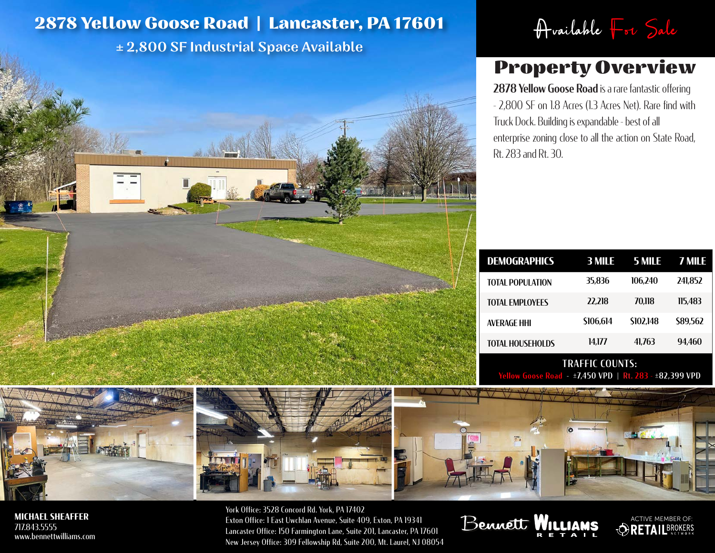## **2878 Yellow Goose Road | Lancaster, PA 17601** Available  $\begin{bmatrix} -1 & 5 \end{bmatrix}$ <br>  $\pm 2,800$  SF Industrial Space Available

± 2,800 SF Industrial Space Available

## Property Overview

2878 Yellow Goose Road is a rare fantastic offering - 2,800 SF on 1.8 Acres (1.3 Acres Net). Rare find with Truck Dock. Building is expandable - best of all enterprise zoning close to all the action on State Road, Rt. 283 and Rt. 30.

| <b>DEMOGRAPHICS</b>     | 3 MILE    | 5 MILE          | 7 MILE   |
|-------------------------|-----------|-----------------|----------|
| <b>TOTAL POPULATION</b> | 35,836    | 106.240         | 241.852  |
| <b>TOTAL EMPLOYEES</b>  | 22.218    | 70.118          | 115.483  |
| <b>AVERAGE HHI</b>      | \$106,614 | <b>SI02,148</b> | \$89,562 |
| <b>TOTAL HOUSEHOLDS</b> | 14.177    | 41.763          | 94.460   |
|                         |           |                 |          |

TRAFFIC COUNTS:  $I - \pm 7,450$  VPD | Rt. 283 -  $\pm 82,399$  VPD

ACTIVE MEMBER OF:

 $\bm{\varphi}$ 







**MICHAEL SHEAFFER** 717.843.5555 www.bennettwilliams.com

York Office: 3528 Concord Rd. York, PA 17402 Exton Office: 1 East Uwchlan Avenue, Suite 409, Exton, PA 19341 Lancaster Office: 150 Farmington Lane, Suite 201, Lancaster, PA 17601 New Jersey Office: 309 Fellowship Rd, Suite 200, Mt. Laurel, NJ 08054

Bennett WILLIA